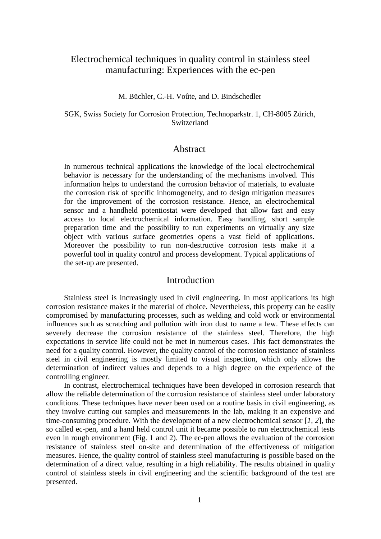# Electrochemical techniques in quality control in stainless steel manufacturing: Experiences with the ec-pen

### M. Büchler, C.-H. Voûte, and D. Bindschedler

### SGK, Swiss Society for Corrosion Protection, Technoparkstr. 1, CH-8005 Zürich, Switzerland

### Abstract

In numerous technical applications the knowledge of the local electrochemical behavior is necessary for the understanding of the mechanisms involved. This information helps to understand the corrosion behavior of materials, to evaluate the corrosion risk of specific inhomogeneity, and to design mitigation measures for the improvement of the corrosion resistance. Hence, an electrochemical sensor and a handheld potentiostat were developed that allow fast and easy access to local electrochemical information. Easy handling, short sample preparation time and the possibility to run experiments on virtually any size object with various surface geometries opens a vast field of applications. Moreover the possibility to run non-destructive corrosion tests make it a powerful tool in quality control and process development. Typical applications of the set-up are presented.

## **Introduction**

Stainless steel is increasingly used in civil engineering. In most applications its high corrosion resistance makes it the material of choice. Nevertheless, this property can be easily compromised by manufacturing processes, such as welding and cold work or environmental influences such as scratching and pollution with iron dust to name a few. These effects can severely decrease the corrosion resistance of the stainless steel. Therefore, the high expectations in service life could not be met in numerous cases. This fact demonstrates the need for a quality control. However, the quality control of the corrosion resistance of stainless steel in civil engineering is mostly limited to visual inspection, which only allows the determination of indirect values and depends to a high degree on the experience of the controlling engineer.

In contrast, electrochemical techniques have been developed in corrosion research that allow the reliable determination of the corrosion resistance of stainless steel under laboratory conditions. These techniques have never been used on a routine basis in civil engineering, as they involve cutting out samples and measurements in the lab, making it an expensive and time-consuming procedure. With the development of a new electrochemical sensor [*1, 2*], the so called ec-pen, and a hand held control unit it became possible to run electrochemical tests even in rough environment (Fig. 1 and 2). The ec-pen allows the evaluation of the corrosion resistance of stainless steel on-site and determination of the effectiveness of mitigation measures. Hence, the quality control of stainless steel manufacturing is possible based on the determination of a direct value, resulting in a high reliability. The results obtained in quality control of stainless steels in civil engineering and the scientific background of the test are presented.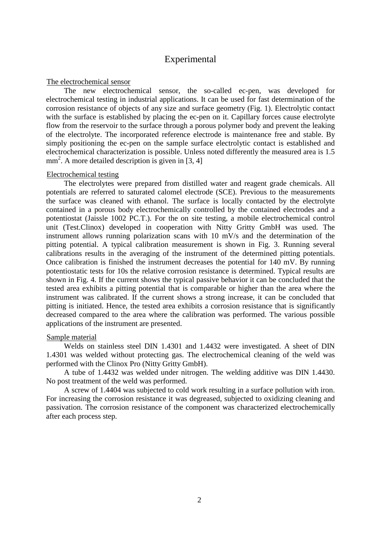## Experimental

#### The electrochemical sensor

The new electrochemical sensor, the so-called ec-pen, was developed for electrochemical testing in industrial applications. It can be used for fast determination of the corrosion resistance of objects of any size and surface geometry (Fig. 1). Electrolytic contact with the surface is established by placing the ec-pen on it. Capillary forces cause electrolyte flow from the reservoir to the surface through a porous polymer body and prevent the leaking of the electrolyte. The incorporated reference electrode is maintenance free and stable. By simply positioning the ec-pen on the sample surface electrolytic contact is established and electrochemical characterization is possible. Unless noted differently the measured area is 1.5 mm<sup>2</sup>. A more detailed description is given in [3, 4]

### Electrochemical testing

The electrolytes were prepared from distilled water and reagent grade chemicals. All potentials are referred to saturated calomel electrode (SCE). Previous to the measurements the surface was cleaned with ethanol. The surface is locally contacted by the electrolyte contained in a porous body electrochemically controlled by the contained electrodes and a potentiostat (Jaissle 1002 PC.T.). For the on site testing, a mobile electrochemical control unit (Test.Clinox) developed in cooperation with Nitty Gritty GmbH was used. The instrument allows running polarization scans with 10 mV/s and the determination of the pitting potential. A typical calibration measurement is shown in Fig. 3. Running several calibrations results in the averaging of the instrument of the determined pitting potentials. Once calibration is finished the instrument decreases the potential for 140 mV. By running potentiostatic tests for 10s the relative corrosion resistance is determined. Typical results are shown in Fig. 4. If the current shows the typical passive behavior it can be concluded that the tested area exhibits a pitting potential that is comparable or higher than the area where the instrument was calibrated. If the current shows a strong increase, it can be concluded that pitting is initiated. Hence, the tested area exhibits a corrosion resistance that is significantly decreased compared to the area where the calibration was performed. The various possible applications of the instrument are presented.

### Sample material

Welds on stainless steel DIN 1.4301 and 1.4432 were investigated. A sheet of DIN 1.4301 was welded without protecting gas. The electrochemical cleaning of the weld was performed with the Clinox Pro (Nitty Gritty GmbH).

A tube of 1.4432 was welded under nitrogen. The welding additive was DIN 1.4430. No post treatment of the weld was performed.

A screw of 1.4404 was subjected to cold work resulting in a surface pollution with iron. For increasing the corrosion resistance it was degreased, subjected to oxidizing cleaning and passivation. The corrosion resistance of the component was characterized electrochemically after each process step.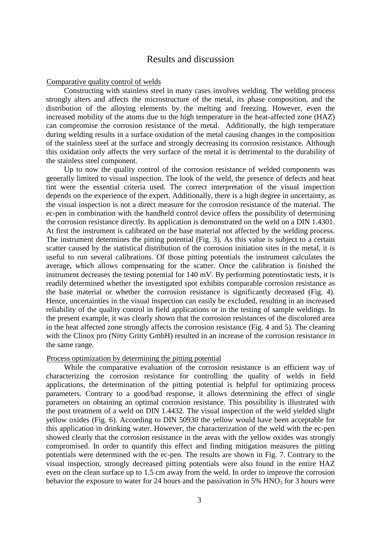## Results and discussion

#### Comparative quality control of welds

Constructing with stainless steel in many cases involves welding. The welding process strongly alters and affects the microstructure of the metal, its phase composition, and the distribution of the alloying elements by the melting and freezing. However, even the increased mobility of the atoms due to the high temperature in the heat-affected zone (HAZ) can compromise the corrosion resistance of the metal. Additionally, the high temperature during welding results in a surface oxidation of the metal causing changes in the composition of the stainless steel at the surface and strongly decreasing its corrosion resistance. Although this oxidation only affects the very surface of the metal it is detrimental to the durability of the stainless steel component.

Up to now the quality control of the corrosion resistance of welded components was generally limited to visual inspection. The look of the weld, the presence of defects and heat tint were the essential criteria used. The correct interpretation of the visual inspection depends on the experience of the expert. Additionally, there is a high degree in uncertainty, as the visual inspection is not a direct measure for the corrosion resistance of the material. The ec-pen in combination with the handheld control device offers the possibility of determining the corrosion resistance directly. Its application is demonstrated on the weld on a DIN 1.4301. At first the instrument is calibrated on the base material not affected by the welding process. The instrument determines the pitting potential (Fig. 3). As this value is subject to a certain scatter caused by the statistical distribution of the corrosion initiation sites in the metal, it is useful to run several calibrations. Of those pitting potentials the instrument calculates the average, which allows compensating for the scatter. Once the calibration is finished the instrument decreases the testing potential for 140 mV. By performing potentiostatic tests, it is readily determined whether the investigated spot exhibits comparable corrosion resistance as the base material or whether the corrosion resistance is significantly decreased (Fig. 4). Hence, uncertainties in the visual inspection can easily be excluded, resulting in an increased reliability of the quality control in field applications or in the testing of sample weldings. In the present example, it was clearly shown that the corrosion resistances of the discolored area in the heat affected zone strongly affects the corrosion resistance (Fig. 4 and 5). The cleaning with the Clinox pro (Nitty Gritty GmbH) resulted in an increase of the corrosion resistance in the same range.

#### Process optimization by determining the pitting potential

While the comparative evaluation of the corrosion resistance is an efficient way of characterizing the corrosion resistance for controlling the quality of welds in field applications, the determination of the pitting potential is helpful for optimizing process parameters. Contrary to a good/bad response, it allows determining the effect of single parameters on obtaining an optimal corrosion resistance. This possibility is illustrated with the post treatment of a weld on DIN 1.4432. The visual inspection of the weld yielded slight yellow oxides (Fig. 6). According to DIN 50930 the yellow would have been acceptable for this application in drinking water. However, the characterization of the weld with the ec-pen showed clearly that the corrosion resistance in the areas with the yellow oxides was strongly compromised. In order to quantify this effect and finding mitigation measures the pitting potentials were determined with the ec-pen. The results are shown in Fig. 7. Contrary to the visual inspection, strongly decreased pitting potentials were also found in the entire HAZ even on the clean surface up to 1.5 cm away from the weld. In order to improve the corrosion behavior the exposure to water for 24 hours and the passivation in  $5\%$  HNO<sub>3</sub> for 3 hours were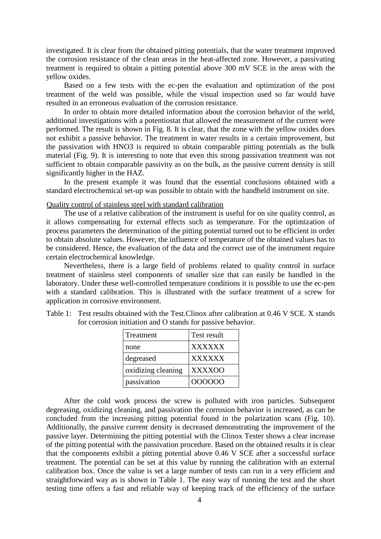investigated. It is clear from the obtained pitting potentials, that the water treatment improved the corrosion resistance of the clean areas in the heat-affected zone. However, a passivating treatment is required to obtain a pitting potential above 300 mV SCE in the areas with the yellow oxides.

Based on a few tests with the ec-pen the evaluation and optimization of the post treatment of the weld was possible, while the visual inspection used so far would have resulted in an erroneous evaluation of the corrosion resistance.

In order to obtain more detailed information about the corrosion behavior of the weld, additional investigations with a potentiostat that allowed the measurement of the current were performed. The result is shown in Fig. 8. It is clear, that the zone with the yellow oxides does not exhibit a passive behavior. The treatment in water results in a certain improvement, but the passivation with HNO3 is required to obtain comparable pitting potentials as the bulk material (Fig. 9). It is interesting to note that even this strong passivation treatment was not sufficient to obtain comparable passivity as on the bulk, as the passive current density is still significantly higher in the HAZ.

In the present example it was found that the essential conclusions obtained with a standard electrochemical set-up was possible to obtain with the handheld instrument on site.

#### Quality control of stainless steel with standard calibration

The use of a relative calibration of the instrument is useful for on site quality control, as it allows compensating for external effects such as temperature. For the optimization of process parameters the determination of the pitting potential turned out to be efficient in order to obtain absolute values. However, the influence of temperature of the obtained values has to be considered. Hence, the evaluation of the data and the correct use of the instrument require certain electrochemical knowledge.

Nevertheless, there is a large field of problems related to quality control in surface treatment of stainless steel components of smaller size that can easily be handled in the laboratory. Under these well-controlled temperature conditions it is possible to use the ec-pen with a standard calibration. This is illustrated with the surface treatment of a screw for application in corrosive environment.

| Treatment          | Test result   |
|--------------------|---------------|
| none               | <b>XXXXXX</b> |
| degreased          | <b>XXXXXX</b> |
| oxidizing cleaning | <b>XXXXOO</b> |
| passivation        | 000000        |

Table 1: Test results obtained with the Test.Clinox after calibration at 0.46 V SCE. X stands for corrosion initiation and O stands for passive behavior.

After the cold work process the screw is polluted with iron particles. Subsequent degreasing, oxidizing cleaning, and passivation the corrosion behavior is increased, as can be concluded from the increasing pitting potential found in the polarization scans (Fig. 10). Additionally, the passive current density is decreased demonstrating the improvement of the passive layer. Determining the pitting potential with the Clinox Tester shows a clear increase of the pitting potential with the passivation procedure. Based on the obtained results it is clear that the components exhibit a pitting potential above 0.46 V SCE after a successful surface treatment. The potential can be set at this value by running the calibration with an external calibration box. Once the value is set a large number of tests can run in a very efficient and straightforward way as is shown in Table 1. The easy way of running the test and the short testing time offers a fast and reliable way of keeping track of the efficiency of the surface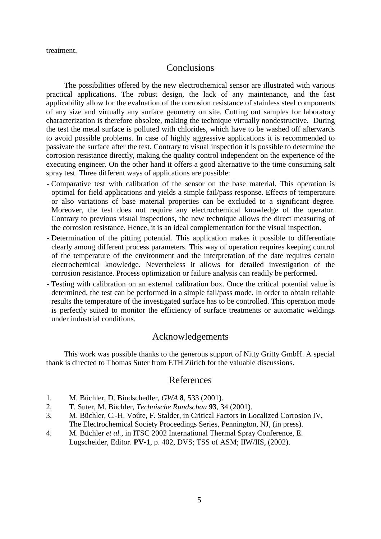treatment.

## **Conclusions**

The possibilities offered by the new electrochemical sensor are illustrated with various practical applications. The robust design, the lack of any maintenance, and the fast applicability allow for the evaluation of the corrosion resistance of stainless steel components of any size and virtually any surface geometry on site. Cutting out samples for laboratory characterization is therefore obsolete, making the technique virtually nondestructive. During the test the metal surface is polluted with chlorides, which have to be washed off afterwards to avoid possible problems. In case of highly aggressive applications it is recommended to passivate the surface after the test. Contrary to visual inspection it is possible to determine the corrosion resistance directly, making the quality control independent on the experience of the executing engineer. On the other hand it offers a good alternative to the time consuming salt spray test. Three different ways of applications are possible:

- Comparative test with calibration of the sensor on the base material. This operation is optimal for field applications and yields a simple fail/pass response. Effects of temperature or also variations of base material properties can be excluded to a significant degree. Moreover, the test does not require any electrochemical knowledge of the operator. Contrary to previous visual inspections, the new technique allows the direct measuring of the corrosion resistance. Hence, it is an ideal complementation for the visual inspection.
- Determination of the pitting potential. This application makes it possible to differentiate clearly among different process parameters. This way of operation requires keeping control of the temperature of the environment and the interpretation of the date requires certain electrochemical knowledge. Nevertheless it allows for detailed investigation of the corrosion resistance. Process optimization or failure analysis can readily be performed.
- Testing with calibration on an external calibration box. Once the critical potential value is determined, the test can be performed in a simple fail/pass mode. In order to obtain reliable results the temperature of the investigated surface has to be controlled. This operation mode is perfectly suited to monitor the efficiency of surface treatments or automatic weldings under industrial conditions.

## Acknowledgements

This work was possible thanks to the generous support of Nitty Gritty GmbH. A special thank is directed to Thomas Suter from ETH Zürich for the valuable discussions.

## References

- 1. M. Büchler, D. Bindschedler, *GWA* **8**, 533 (2001).
- 2. T. Suter, M. Büchler, *Technische Rundschau* **93**, 34 (2001).
- 3. M. Büchler, C.-H. Voûte, F. Stalder, in Critical Factors in Localized Corrosion IV, The Electrochemical Society Proceedings Series, Pennington, NJ, (in press).
- 4. M. Büchler *et al.*, in ITSC 2002 International Thermal Spray Conference, E. Lugscheider, Editor. **PV-1**, p. 402, DVS; TSS of ASM; IIW/IIS, (2002).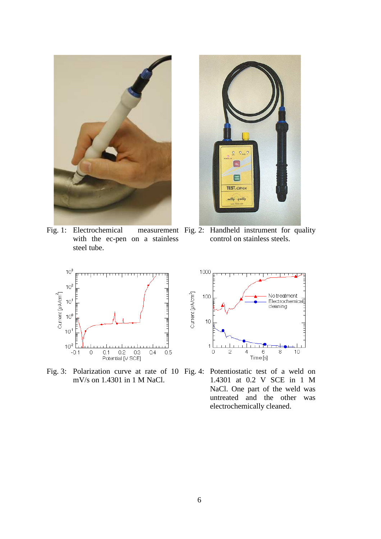

Fig. 1: Electrochemical with the ec-pen on a stainless steel tube.



measurement Fig. 2: Handheld instrument for quality control on stainless steels.



Fig. 3: Polarization curve at rate of 10 Fig. 4: Potentiostatic test of a weld on mV/s on 1.4301 in 1 M NaCl.



1.4301 at 0.2 V SCE in 1 M NaCl. One part of the weld was untreated and the other was electrochemically cleaned.